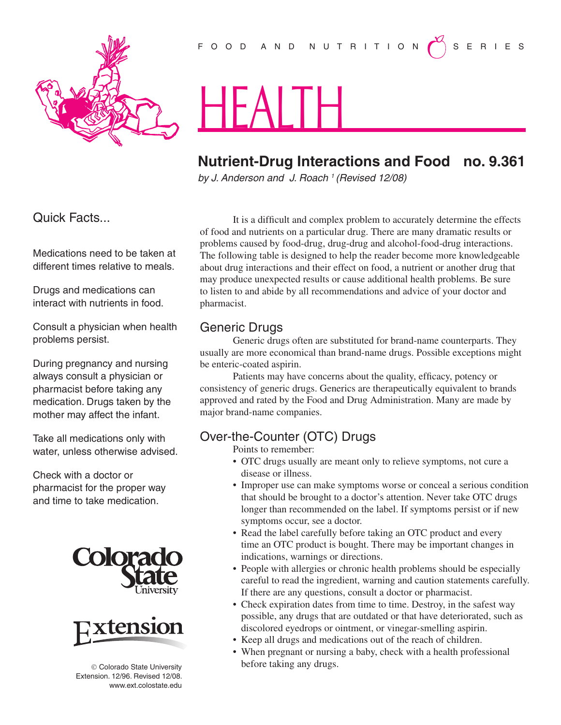

# F O O D A N D N U T R I T I O N  $\left(\begin{matrix}1 \ 1 \end{matrix}\right)$  S E R I E S

# HEALTH

## **Nutrient-Drug Interactions and Food no. 9.361**

*by J. Anderson and J. Roach 1 (Revised 12/08)* 

Quick Facts...

Medications need to be taken at different times relative to meals.

Drugs and medications can interact with nutrients in food.

Consult a physician when health problems persist.

During pregnancy and nursing always consult a physician or pharmacist before taking any medication. Drugs taken by the mother may affect the infant.

Take all medications only with water, unless otherwise advised.

Check with a doctor or pharmacist for the proper way and time to take medication.





© Colorado State University Extension. 12/96. Revised 12/08. www.ext.colostate.edu

It is a difficult and complex problem to accurately determine the effects of food and nutrients on a particular drug. There are many dramatic results or problems caused by food-drug, drug-drug and alcohol-food-drug interactions. The following table is designed to help the reader become more knowledgeable about drug interactions and their effect on food, a nutrient or another drug that may produce unexpected results or cause additional health problems. Be sure to listen to and abide by all recommendations and advice of your doctor and pharmacist.

## Generic Drugs

Generic drugs often are substituted for brand-name counterparts. They usually are more economical than brand-name drugs. Possible exceptions might be enteric-coated aspirin.

Patients may have concerns about the quality, efficacy, potency or consistency of generic drugs. Generics are therapeutically equivalent to brands approved and rated by the Food and Drug Administration. Many are made by major brand-name companies.

### Over-the-Counter (OTC) Drugs

Points to remember:

- OTC drugs usually are meant only to relieve symptoms, not cure a disease or illness.
- Improper use can make symptoms worse or conceal a serious condition that should be brought to a doctor's attention. Never take OTC drugs longer than recommended on the label. If symptoms persist or if new symptoms occur, see a doctor.
- Read the label carefully before taking an OTC product and every time an OTC product is bought. There may be important changes in indications, warnings or directions.
- People with allergies or chronic health problems should be especially careful to read the ingredient, warning and caution statements carefully. If there are any questions, consult a doctor or pharmacist.
- Check expiration dates from time to time. Destroy, in the safest way possible, any drugs that are outdated or that have deteriorated, such as discolored eyedrops or ointment, or vinegar-smelling aspirin.
- Keep all drugs and medications out of the reach of children.
- When pregnant or nursing a baby, check with a health professional before taking any drugs.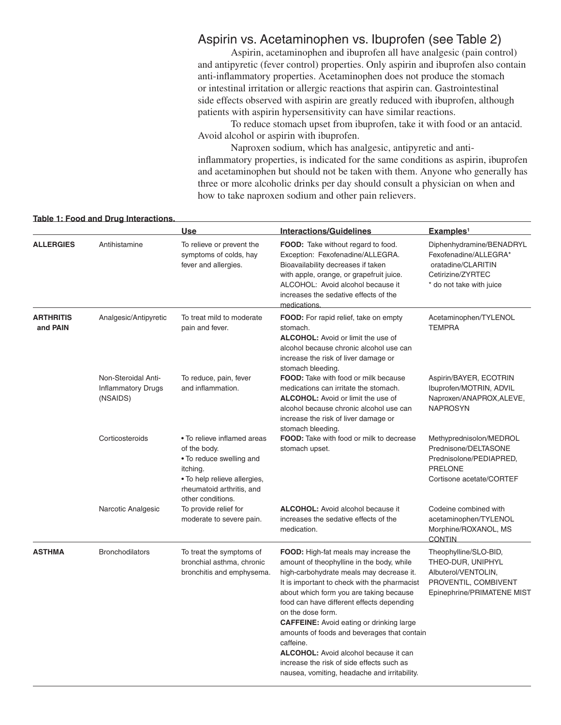#### Aspirin vs. Acetaminophen vs. Ibuprofen (see Table 2)

Aspirin, acetaminophen and ibuprofen all have analgesic (pain control) and antipyretic (fever control) properties. Only aspirin and ibuprofen also contain anti-inflammatory properties. Acetaminophen does not produce the stomach or intestinal irritation or allergic reactions that aspirin can. Gastrointestinal side effects observed with aspirin are greatly reduced with ibuprofen, although patients with aspirin hypersensitivity can have similar reactions.

To reduce stomach upset from ibuprofen, take it with food or an antacid. Avoid alcohol or aspirin with ibuprofen.

Naproxen sodium, which has analgesic, antipyretic and antiinflammatory properties, is indicated for the same conditions as aspirin, ibuprofen and acetaminophen but should not be taken with them. Anyone who generally has three or more alcoholic drinks per day should consult a physician on when and how to take naproxen sodium and other pain relievers.

#### **Table 1: Food and Drug Interactions.**

|                              |                                                              | <b>Use</b>                                                                                                                                                            | <b>Interactions/Guidelines</b>                                                                                                                                                                                                                                                                                                                                                                                                                                                                                                                                 | Examples <sup>1</sup>                                                                                                    |
|------------------------------|--------------------------------------------------------------|-----------------------------------------------------------------------------------------------------------------------------------------------------------------------|----------------------------------------------------------------------------------------------------------------------------------------------------------------------------------------------------------------------------------------------------------------------------------------------------------------------------------------------------------------------------------------------------------------------------------------------------------------------------------------------------------------------------------------------------------------|--------------------------------------------------------------------------------------------------------------------------|
| <b>ALLERGIES</b>             | Antihistamine                                                | To relieve or prevent the<br>symptoms of colds, hay<br>fever and allergies.                                                                                           | FOOD: Take without regard to food.<br>Exception: Fexofenadine/ALLEGRA.<br>Bioavailability decreases if taken<br>with apple, orange, or grapefruit juice.<br>ALCOHOL: Avoid alcohol because it<br>increases the sedative effects of the<br>medications.                                                                                                                                                                                                                                                                                                         | Diphenhydramine/BENADRYL<br>Fexofenadine/ALLEGRA*<br>oratadine/CLARITIN<br>Cetirizine/ZYRTEC<br>* do not take with juice |
| <b>ARTHRITIS</b><br>and PAIN | Analgesic/Antipyretic                                        | To treat mild to moderate<br>pain and fever.                                                                                                                          | FOOD: For rapid relief, take on empty<br>stomach.<br><b>ALCOHOL:</b> Avoid or limit the use of<br>alcohol because chronic alcohol use can<br>increase the risk of liver damage or<br>stomach bleeding.                                                                                                                                                                                                                                                                                                                                                         | Acetaminophen/TYLENOL<br><b>TEMPRA</b>                                                                                   |
|                              | Non-Steroidal Anti-<br><b>Inflammatory Drugs</b><br>(NSAIDS) | To reduce, pain, fever<br>and inflammation.                                                                                                                           | <b>FOOD:</b> Take with food or milk because<br>medications can irritate the stomach.<br><b>ALCOHOL:</b> Avoid or limit the use of<br>alcohol because chronic alcohol use can<br>increase the risk of liver damage or<br>stomach bleeding.                                                                                                                                                                                                                                                                                                                      | Aspirin/BAYER, ECOTRIN<br>Ibuprofen/MOTRIN, ADVIL<br>Naproxen/ANAPROX, ALEVE,<br><b>NAPROSYN</b>                         |
|                              | Corticosteroids                                              | • To relieve inflamed areas<br>of the body.<br>. To reduce swelling and<br>itching.<br>• To help relieve allergies,<br>rheumatoid arthritis, and<br>other conditions. | <b>FOOD:</b> Take with food or milk to decrease<br>stomach upset.                                                                                                                                                                                                                                                                                                                                                                                                                                                                                              | Methyprednisolon/MEDROL<br>Prednisone/DELTASONE<br>Prednisolone/PEDIAPRED,<br><b>PRELONE</b><br>Cortisone acetate/CORTEF |
|                              | Narcotic Analgesic                                           | To provide relief for<br>moderate to severe pain.                                                                                                                     | ALCOHOL: Avoid alcohol because it<br>increases the sedative effects of the<br>medication.                                                                                                                                                                                                                                                                                                                                                                                                                                                                      | Codeine combined with<br>acetaminophen/TYLENOL<br>Morphine/ROXANOL, MS<br><b>CONTIN</b>                                  |
| <b>ASTHMA</b>                | <b>Bronchodilators</b>                                       | To treat the symptoms of<br>bronchial asthma, chronic<br>bronchitis and emphysema.                                                                                    | <b>FOOD:</b> High-fat meals may increase the<br>amount of theophylline in the body, while<br>high-carbohydrate meals may decrease it.<br>It is important to check with the pharmacist<br>about which form you are taking because<br>food can have different effects depending<br>on the dose form.<br><b>CAFFEINE:</b> Avoid eating or drinking large<br>amounts of foods and beverages that contain<br>caffeine.<br><b>ALCOHOL:</b> Avoid alcohol because it can<br>increase the risk of side effects such as<br>nausea, vomiting, headache and irritability. | Theophylline/SLO-BID,<br>THEO-DUR, UNIPHYL<br>Albuterol/VENTOLIN,<br>PROVENTIL, COMBIVENT<br>Epinephrine/PRIMATENE MIST  |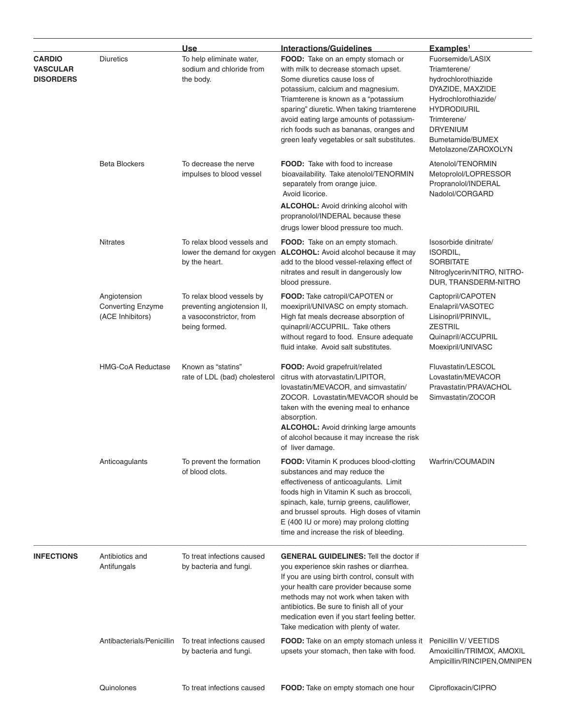|                                                      |                                                              | <b>Use</b>                                                                                           | <b>Interactions/Guidelines</b>                                                                                                                                                                                                                                                                                                                                             | Examples <sup>1</sup>                                                                                                                                                                                   |
|------------------------------------------------------|--------------------------------------------------------------|------------------------------------------------------------------------------------------------------|----------------------------------------------------------------------------------------------------------------------------------------------------------------------------------------------------------------------------------------------------------------------------------------------------------------------------------------------------------------------------|---------------------------------------------------------------------------------------------------------------------------------------------------------------------------------------------------------|
| <b>CARDIO</b><br><b>VASCULAR</b><br><b>DISORDERS</b> | <b>Diuretics</b>                                             | To help eliminate water,<br>sodium and chloride from<br>the body.                                    | FOOD: Take on an empty stomach or<br>with milk to decrease stomach upset.<br>Some diuretics cause loss of<br>potassium, calcium and magnesium.<br>Triamterene is known as a "potassium<br>sparing" diuretic. When taking triamterene<br>avoid eating large amounts of potassium-<br>rich foods such as bananas, oranges and<br>green leafy vegetables or salt substitutes. | Fuorsemide/LASIX<br>Triamterene/<br>hydrochlorothiazide<br>DYAZIDE, MAXZIDE<br>Hydrochlorothiazide/<br><b>HYDRODIURIL</b><br>Trimterene/<br><b>DRYENIUM</b><br>Bumetamide/BUMEX<br>Metolazone/ZAROXOLYN |
|                                                      | <b>Beta Blockers</b>                                         | To decrease the nerve<br>impulses to blood vessel                                                    | <b>FOOD:</b> Take with food to increase<br>bioavailability. Take atenolol/TENORMIN<br>separately from orange juice.<br>Avoid licorice.<br><b>ALCOHOL:</b> Avoid drinking alcohol with<br>propranolol/INDERAL because these<br>drugs lower blood pressure too much.                                                                                                         | Atenolol/TENORMIN<br>Metoprolol/LOPRESSOR<br>Propranolol/INDERAL<br>Nadolol/CORGARD                                                                                                                     |
|                                                      | <b>Nitrates</b>                                              | To relax blood vessels and<br>lower the demand for oxygen<br>by the heart.                           | <b>FOOD:</b> Take on an empty stomach.<br><b>ALCOHOL:</b> Avoid alcohol because it may<br>add to the blood vessel-relaxing effect of<br>nitrates and result in dangerously low<br>blood pressure.                                                                                                                                                                          | Isosorbide dinitrate/<br>ISORDIL,<br><b>SORBITATE</b><br>Nitroglycerin/NITRO, NITRO-<br>DUR, TRANSDERM-NITRO                                                                                            |
|                                                      | Angiotension<br><b>Converting Enzyme</b><br>(ACE Inhibitors) | To relax blood vessels by<br>preventing angiotension II,<br>a vasoconstrictor, from<br>being formed. | FOOD: Take catropil/CAPOTEN or<br>moexipril/UNIVASC on empty stomach.<br>High fat meals decrease absorption of<br>quinapril/ACCUPRIL. Take others<br>without regard to food. Ensure adequate<br>fluid intake. Avoid salt substitutes.                                                                                                                                      | Captopril/CAPOTEN<br>Enalapril/VASOTEC<br>Lisinopril/PRINVIL,<br><b>ZESTRIL</b><br>Quinapril/ACCUPRIL<br>Moexipril/UNIVASC                                                                              |
|                                                      | <b>HMG-CoA Reductase</b>                                     | Known as "statins"<br>rate of LDL (bad) cholesterol                                                  | FOOD: Avoid grapefruit/related<br>citrus with atorvastatin/LIPITOR,<br>lovastatin/MEVACOR, and simvastatin/<br>ZOCOR. Lovastatin/MEVACOR should be<br>taken with the evening meal to enhance<br>absorption.<br><b>ALCOHOL:</b> Avoid drinking large amounts<br>of alcohol because it may increase the risk<br>of liver damage.                                             | Fluvastatin/LESCOL<br>Lovastatin/MEVACOR<br>Pravastatin/PRAVACHOL<br>Simvastatin/ZOCOR                                                                                                                  |
|                                                      | Anticoagulants                                               | To prevent the formation<br>of blood clots.                                                          | <b>FOOD:</b> Vitamin K produces blood-clotting<br>substances and may reduce the<br>effectiveness of anticoagulants. Limit<br>foods high in Vitamin K such as broccoli,<br>spinach, kale, turnip greens, cauliflower,<br>and brussel sprouts. High doses of vitamin<br>E (400 IU or more) may prolong clotting<br>time and increase the risk of bleeding.                   | Warfrin/COUMADIN                                                                                                                                                                                        |
| <b>INFECTIONS</b>                                    | Antibiotics and<br>Antifungals                               | To treat infections caused<br>by bacteria and fungi.                                                 | <b>GENERAL GUIDELINES: Tell the doctor if</b><br>you experience skin rashes or diarrhea.<br>If you are using birth control, consult with<br>your health care provider because some<br>methods may not work when taken with<br>antibiotics. Be sure to finish all of your<br>medication even if you start feeling better.<br>Take medication with plenty of water.          |                                                                                                                                                                                                         |
|                                                      | Antibacterials/Penicillin                                    | To treat infections caused<br>by bacteria and fungi.                                                 | <b>FOOD:</b> Take on an empty stomach unless it<br>upsets your stomach, then take with food.                                                                                                                                                                                                                                                                               | Penicillin V/VEETIDS<br>Amoxicillin/TRIMOX, AMOXIL<br>Ampicillin/RINCIPEN, OMNIPEN                                                                                                                      |
|                                                      | Quinolones                                                   | To treat infections caused                                                                           | FOOD: Take on empty stomach one hour                                                                                                                                                                                                                                                                                                                                       | Ciprofloxacin/CIPRO                                                                                                                                                                                     |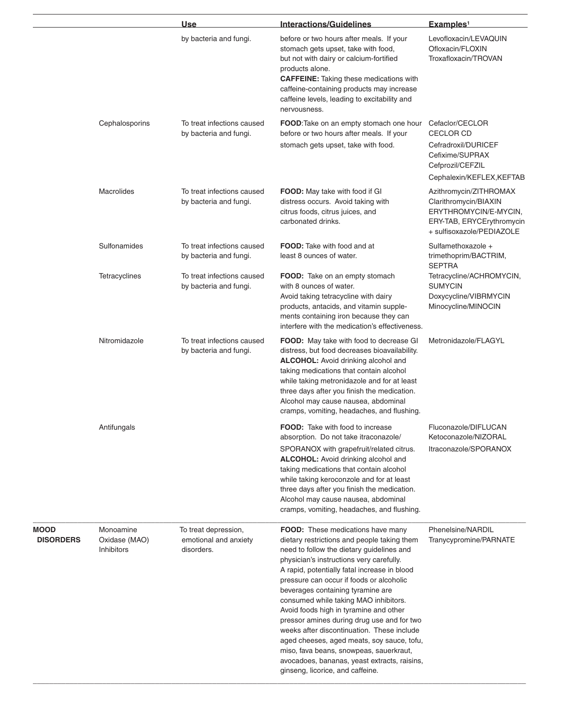|                                 |                                                 | Use                                                         | <b>Interactions/Guidelines</b>                                                                                                                                                                                                                                                                                                                                                                                                                                                                                                                                                                                                                                         | Examples <sup>1</sup>                                                                                                              |
|---------------------------------|-------------------------------------------------|-------------------------------------------------------------|------------------------------------------------------------------------------------------------------------------------------------------------------------------------------------------------------------------------------------------------------------------------------------------------------------------------------------------------------------------------------------------------------------------------------------------------------------------------------------------------------------------------------------------------------------------------------------------------------------------------------------------------------------------------|------------------------------------------------------------------------------------------------------------------------------------|
|                                 |                                                 | by bacteria and fungi.                                      | before or two hours after meals. If your<br>stomach gets upset, take with food,<br>but not with dairy or calcium-fortified<br>products alone.<br><b>CAFFEINE:</b> Taking these medications with<br>caffeine-containing products may increase<br>caffeine levels, leading to excitability and<br>nervousness.                                                                                                                                                                                                                                                                                                                                                           | Levofloxacin/LEVAQUIN<br>Ofloxacin/FLOXIN<br>Troxafloxacin/TROVAN                                                                  |
|                                 | Cephalosporins                                  | To treat infections caused<br>by bacteria and fungi.        | FOOD: Take on an empty stomach one hour<br>before or two hours after meals. If your                                                                                                                                                                                                                                                                                                                                                                                                                                                                                                                                                                                    | Cefaclor/CECLOR<br><b>CECLOR CD</b>                                                                                                |
|                                 |                                                 |                                                             | stomach gets upset, take with food.                                                                                                                                                                                                                                                                                                                                                                                                                                                                                                                                                                                                                                    | Cefradroxil/DURICEF<br>Cefixime/SUPRAX<br>Cefprozil/CEFZIL                                                                         |
|                                 |                                                 |                                                             |                                                                                                                                                                                                                                                                                                                                                                                                                                                                                                                                                                                                                                                                        | Cephalexin/KEFLEX, KEFTAB                                                                                                          |
|                                 | Macrolides                                      | To treat infections caused<br>by bacteria and fungi.        | FOOD: May take with food if GI<br>distress occurs. Avoid taking with<br>citrus foods, citrus juices, and<br>carbonated drinks.                                                                                                                                                                                                                                                                                                                                                                                                                                                                                                                                         | Azithromycin/ZITHROMAX<br>Clarithromycin/BIAXIN<br>ERYTHROMYCIN/E-MYCIN,<br>ERY-TAB, ERYCErythromycin<br>+ sulfisoxazole/PEDIAZOLE |
|                                 | Sulfonamides                                    | To treat infections caused<br>by bacteria and fungi.        | <b>FOOD:</b> Take with food and at<br>least 8 ounces of water.                                                                                                                                                                                                                                                                                                                                                                                                                                                                                                                                                                                                         | Sulfamethoxazole +<br>trimethoprim/BACTRIM,<br><b>SEPTRA</b>                                                                       |
|                                 | Tetracyclines                                   | To treat infections caused<br>by bacteria and fungi.        | FOOD: Take on an empty stomach<br>with 8 ounces of water.<br>Avoid taking tetracycline with dairy<br>products, antacids, and vitamin supple-<br>ments containing iron because they can<br>interfere with the medication's effectiveness.                                                                                                                                                                                                                                                                                                                                                                                                                               | Tetracycline/ACHROMYCIN,<br><b>SUMYCIN</b><br>Doxycycline/VIBRMYCIN<br>Minocycline/MINOCIN                                         |
|                                 | Nitromidazole                                   | To treat infections caused<br>by bacteria and fungi.        | FOOD: May take with food to decrease GI<br>distress, but food decreases bioavailability.<br>ALCOHOL: Avoid drinking alcohol and<br>taking medications that contain alcohol<br>while taking metronidazole and for at least<br>three days after you finish the medication.<br>Alcohol may cause nausea, abdominal<br>cramps, vomiting, headaches, and flushing.                                                                                                                                                                                                                                                                                                          | Metronidazole/FLAGYL                                                                                                               |
|                                 | Antifungals                                     |                                                             | <b>FOOD:</b> Take with food to increase<br>absorption. Do not take itraconazole/<br>SPORANOX with grapefruit/related citrus.<br><b>ALCOHOL:</b> Avoid drinking alcohol and<br>taking medications that contain alcohol<br>while taking keroconzole and for at least<br>three days after you finish the medication.<br>Alcohol may cause nausea, abdominal<br>cramps, vomiting, headaches, and flushing.                                                                                                                                                                                                                                                                 | Fluconazole/DIFLUCAN<br>Ketoconazole/NIZORAL<br>Itraconazole/SPORANOX                                                              |
| <b>MOOD</b><br><b>DISORDERS</b> | Monoamine<br>Oxidase (MAO)<br><b>Inhibitors</b> | To treat depression,<br>emotional and anxiety<br>disorders. | FOOD: These medications have many<br>dietary restrictions and people taking them<br>need to follow the dietary guidelines and<br>physician's instructions very carefully.<br>A rapid, potentially fatal increase in blood<br>pressure can occur if foods or alcoholic<br>beverages containing tyramine are<br>consumed while taking MAO inhibitors.<br>Avoid foods high in tyramine and other<br>pressor amines during drug use and for two<br>weeks after discontinuation. These include<br>aged cheeses, aged meats, soy sauce, tofu,<br>miso, fava beans, snowpeas, sauerkraut,<br>avocadoes, bananas, yeast extracts, raisins,<br>ginseng, licorice, and caffeine. | Phenelsine/NARDIL<br>Tranycypromine/PARNATE                                                                                        |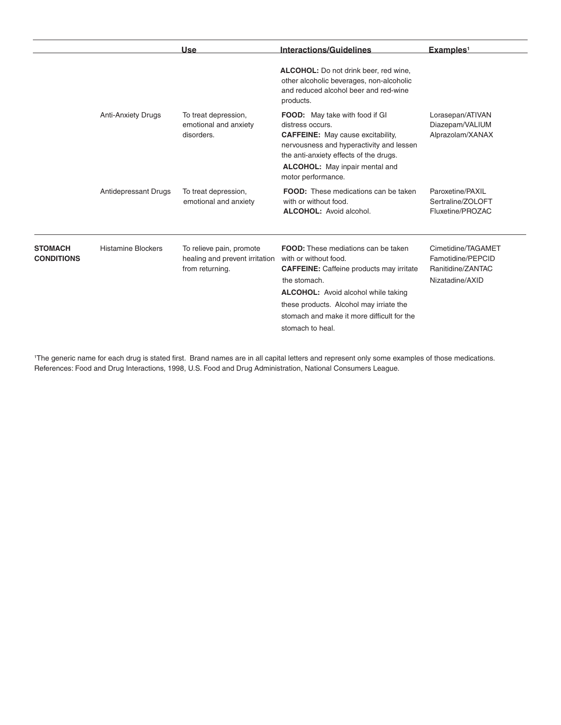|                                     |                             | <b>Use</b>                                                                    | <b>Interactions/Guidelines</b>                                                                                                                                                                                                                                                             | Examples <sup>1</sup>                                                           |
|-------------------------------------|-----------------------------|-------------------------------------------------------------------------------|--------------------------------------------------------------------------------------------------------------------------------------------------------------------------------------------------------------------------------------------------------------------------------------------|---------------------------------------------------------------------------------|
|                                     |                             |                                                                               | <b>ALCOHOL:</b> Do not drink beer, red wine,<br>other alcoholic beverages, non-alcoholic<br>and reduced alcohol beer and red-wine<br>products.                                                                                                                                             |                                                                                 |
|                                     | <b>Anti-Anxiety Drugs</b>   | To treat depression,<br>emotional and anxiety<br>disorders.                   | <b>FOOD:</b> May take with food if GI<br>distress occurs.<br><b>CAFFEINE:</b> May cause excitability,<br>nervousness and hyperactivity and lessen<br>the anti-anxiety effects of the drugs.<br><b>ALCOHOL:</b> May inpair mental and<br>motor performance.                                 | Lorasepan/ATIVAN<br>Diazepam/VALIUM<br>Alprazolam/XANAX                         |
|                                     | <b>Antidepressant Drugs</b> | To treat depression,<br>emotional and anxiety                                 | <b>FOOD:</b> These medications can be taken<br>with or without food.<br><b>ALCOHOL:</b> Avoid alcohol.                                                                                                                                                                                     | Paroxetine/PAXIL<br>Sertraline/ZOLOFT<br>Fluxetine/PROZAC                       |
| <b>STOMACH</b><br><b>CONDITIONS</b> | <b>Histamine Blockers</b>   | To relieve pain, promote<br>healing and prevent irritation<br>from returning. | FOOD: These mediations can be taken<br>with or without food.<br><b>CAFFEINE:</b> Caffeine products may irritate<br>the stomach.<br><b>ALCOHOL:</b> Avoid alcohol while taking<br>these products. Alcohol may irriate the<br>stomach and make it more difficult for the<br>stomach to heal. | Cimetidine/TAGAMET<br>Famotidine/PEPCID<br>Ranitidine/ZANTAC<br>Nizatadine/AXID |

1 The generic name for each drug is stated first. Brand names are in all capital letters and represent only some examples of those medications. References: Food and Drug Interactions, 1998, U.S. Food and Drug Administration, National Consumers League.